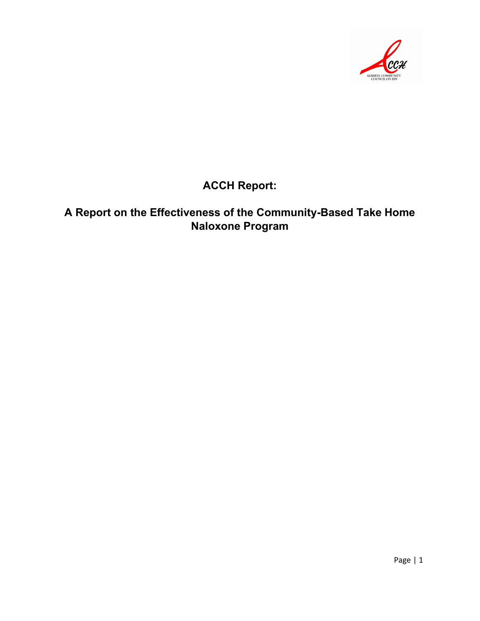

## **ACCH Report:**

## **A Report on the Effectiveness of the Community-Based Take Home Naloxone Program**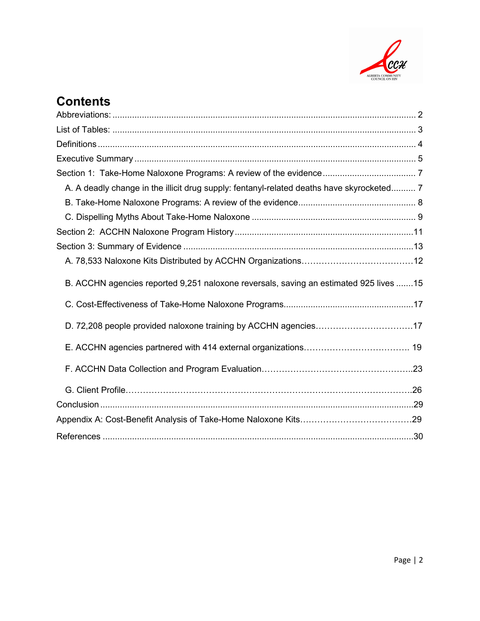

# **Contents**

<span id="page-1-0"></span>

| A. A deadly change in the illicit drug supply: fentanyl-related deaths have skyrocketed 7 |  |
|-------------------------------------------------------------------------------------------|--|
|                                                                                           |  |
|                                                                                           |  |
|                                                                                           |  |
|                                                                                           |  |
|                                                                                           |  |
| B. ACCHN agencies reported 9,251 naloxone reversals, saving an estimated 925 lives 15     |  |
|                                                                                           |  |
|                                                                                           |  |
|                                                                                           |  |
|                                                                                           |  |
|                                                                                           |  |
|                                                                                           |  |
|                                                                                           |  |
|                                                                                           |  |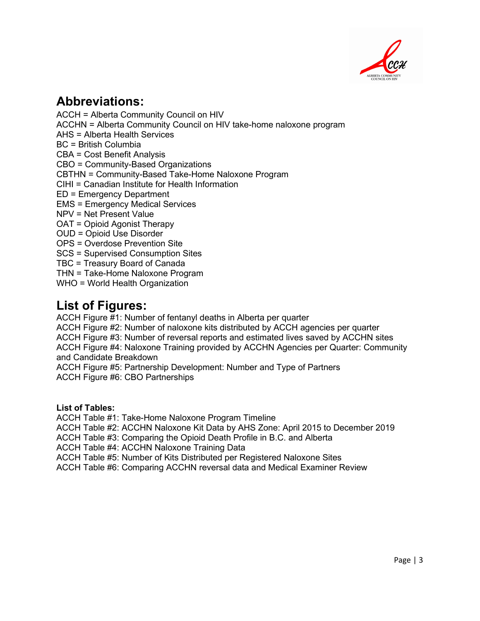

## **Abbreviations:**

ACCH = Alberta Community Council on HIV ACCHN = Alberta Community Council on HIV take-home naloxone program AHS = Alberta Health Services BC = British Columbia CBA = Cost Benefit Analysis CBO = Community-Based Organizations CBTHN = Community-Based Take-Home Naloxone Program CIHI = Canadian Institute for Health Information ED = Emergency Department EMS = Emergency Medical Services NPV = Net Present Value OAT = Opioid Agonist Therapy OUD = Opioid Use Disorder OPS = Overdose Prevention Site SCS = Supervised Consumption Sites TBC = Treasury Board of Canada THN = Take-Home Naloxone Program WHO = World Health Organization

# **List of Figures:**

ACCH Figure #1: Number of fentanyl deaths in Alberta per quarter ACCH Figure #2: Number of naloxone kits distributed by ACCH agencies per quarter ACCH Figure #3: Number of reversal reports and estimated lives saved by ACCHN sites ACCH Figure #4: Naloxone Training provided by ACCHN Agencies per Quarter: Community and Candidate Breakdown ACCH Figure #5: Partnership Development: Number and Type of Partners

ACCH Figure #6: CBO Partnerships

#### <span id="page-2-0"></span>**List of Tables:**

ACCH Table #1: Take-Home Naloxone Program Timeline

ACCH Table #2: ACCHN Naloxone Kit Data by AHS Zone: April 2015 to December 2019

ACCH Table #3: Comparing the Opioid Death Profile in B.C. and Alberta

ACCH Table #4: ACCHN Naloxone Training Data

ACCH Table #5: Number of Kits Distributed per Registered Naloxone Sites

ACCH Table #6: Comparing ACCHN reversal data and Medical Examiner Review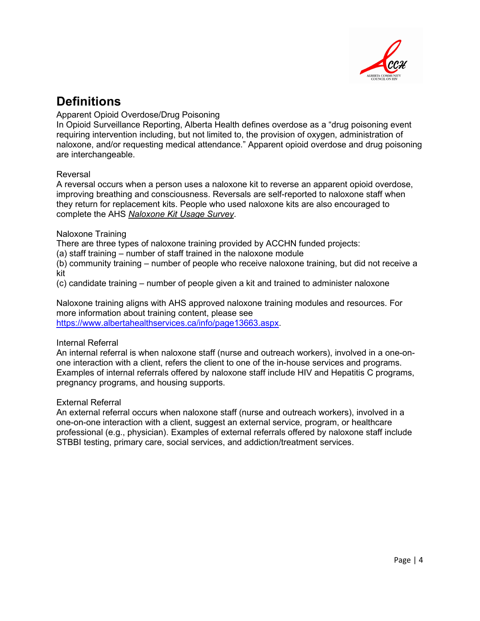

## <span id="page-3-0"></span>**Definitions**

Apparent Opioid Overdose/Drug Poisoning

In Opioid Surveillance Reporting, Alberta Health defines overdose as a "drug poisoning event requiring intervention including, but not limited to, the provision of oxygen, administration of naloxone, and/or requesting medical attendance." Apparent opioid overdose and drug poisoning are interchangeable.

#### Reversal

A reversal occurs when a person uses a naloxone kit to reverse an apparent opioid overdose, improving breathing and consciousness. Reversals are self-reported to naloxone staff when they return for replacement kits. People who used naloxone kits are also encouraged to complete the AHS *[Naloxone Kit Usage Survey](https://www.albertahealthservices.ca/assets/healthinfo/mh/hi-amh-thn-usage-form.pdf)*.

#### Naloxone Training

There are three types of naloxone training provided by ACCHN funded projects:

(a) staff training – number of staff trained in the naloxone module

(b) community training – number of people who receive naloxone training, but did not receive a kit

(c) candidate training – number of people given a kit and trained to administer naloxone

Naloxone training aligns with AHS approved naloxone training modules and resources. For more information about training content, please see [https://www.albertahealthservices.ca/info/page13663.aspx.](https://www.albertahealthservices.ca/info/page13663.aspx)

#### Internal Referral

An internal referral is when naloxone staff (nurse and outreach workers), involved in a one-onone interaction with a client, refers the client to one of the in-house services and programs. Examples of internal referrals offered by naloxone staff include HIV and Hepatitis C programs, pregnancy programs, and housing supports.

#### External Referral

An external referral occurs when naloxone staff (nurse and outreach workers), involved in a one-on-one interaction with a client, suggest an external service, program, or healthcare professional (e.g., physician). Examples of external referrals offered by naloxone staff include STBBI testing, primary care, social services, and addiction/treatment services.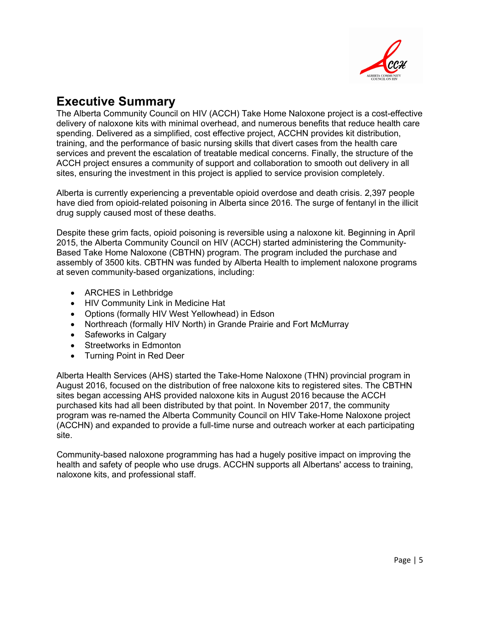

## <span id="page-4-0"></span>**Executive Summary**

The Alberta Community Council on HIV (ACCH) Take Home Naloxone project is a cost-effective delivery of naloxone kits with minimal overhead, and numerous benefits that reduce health care spending. Delivered as a simplified, cost effective project, ACCHN provides kit distribution, training, and the performance of basic nursing skills that divert cases from the health care services and prevent the escalation of treatable medical concerns. Finally, the structure of the ACCH project ensures a community of support and collaboration to smooth out delivery in all sites, ensuring the investment in this project is applied to service provision completely.

Alberta is currently experiencing a preventable opioid overdose and death crisis. 2,397 people have died from opioid-related poisoning in Alberta since 2016. The surge of fentanyl in the illicit drug supply caused most of these deaths.

Despite these grim facts, opioid poisoning is reversible using a naloxone kit. Beginning in April 2015, the Alberta Community Council on HIV (ACCH) started administering the Community-Based Take Home Naloxone (CBTHN) program. The program included the purchase and assembly of 3500 kits. CBTHN was funded by Alberta Health to implement naloxone programs at seven community-based organizations, including:

- ARCHES in Lethbridge
- HIV Community Link in Medicine Hat
- Options (formally HIV West Yellowhead) in Edson
- Northreach (formally HIV North) in Grande Prairie and Fort McMurray
- Safeworks in Calgary
- Streetworks in Edmonton
- Turning Point in Red Deer

Alberta Health Services (AHS) started the Take-Home Naloxone (THN) provincial program in August 2016, focused on the distribution of free naloxone kits to registered sites. The CBTHN sites began accessing AHS provided naloxone kits in August 2016 because the ACCH purchased kits had all been distributed by that point. In November 2017, the community program was re-named the Alberta Community Council on HIV Take-Home Naloxone project (ACCHN) and expanded to provide a full-time nurse and outreach worker at each participating site.

Community-based naloxone programming has had a hugely positive impact on improving the health and safety of people who use drugs. ACCHN supports all Albertans' access to training, naloxone kits, and professional staff.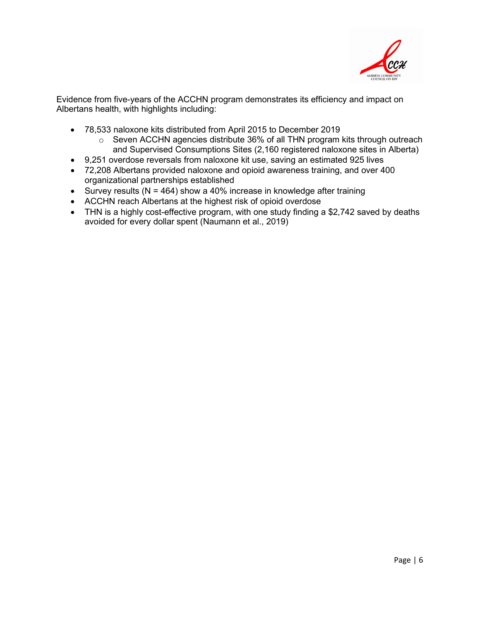

Evidence from five-years of the ACCHN program demonstrates its efficiency and impact on Albertans health, with highlights including:

- 78,533 naloxone kits distributed from April 2015 to December 2019
	- o Seven ACCHN agencies distribute 36% of all THN program kits through outreach and Supervised Consumptions Sites (2,160 registered naloxone sites in Alberta)
- 9,251 overdose reversals from naloxone kit use, saving an estimated 925 lives
- 72,208 Albertans provided naloxone and opioid awareness training, and over 400 organizational partnerships established
- Survey results ( $N = 464$ ) show a 40% increase in knowledge after training
- ACCHN reach Albertans at the highest risk of opioid overdose
- <span id="page-5-0"></span>• THN is a highly cost-effective program, with one study finding a \$2,742 saved by deaths avoided for every dollar spent (Naumann et al., 2019)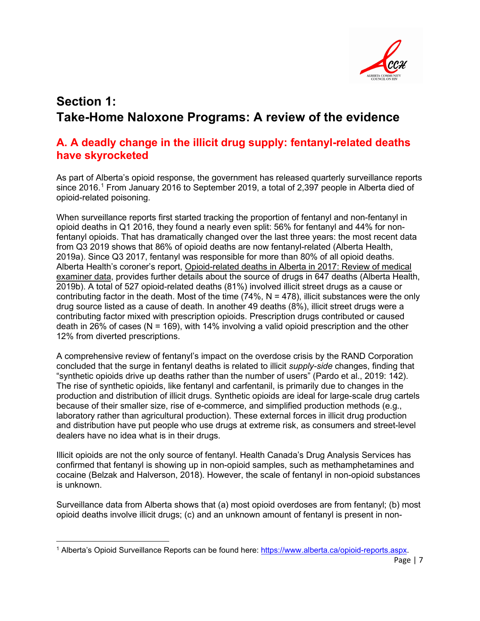

# **Section 1: Take-Home Naloxone Programs: A review of the evidence**

### <span id="page-6-0"></span>**A. A deadly change in the illicit drug supply: fentanyl-related deaths have skyrocketed**

As part of Alberta's opioid response, the government has released quarterly surveillance reports since 20[1](#page-6-1)6.<sup>1</sup> From January 2016 to September 2019, a total of 2,397 people in Alberta died of opioid-related poisoning.

When surveillance reports first started tracking the proportion of fentanyl and non-fentanyl in opioid deaths in Q1 2016, they found a nearly even split: 56% for fentanyl and 44% for nonfentanyl opioids. That has dramatically changed over the last three years: the most recent data from Q3 2019 shows that 86% of opioid deaths are now fentanyl-related (Alberta Health, 2019a). Since Q3 2017, fentanyl was responsible for more than 80% of all opioid deaths. Alberta Health's coroner's report, Opioid-related deaths [in Alberta in 2017: Review of medical](https://open.alberta.ca/dataset/f9912915-bd4f-4b57-93bf-2a963cb99038/resource/a2857fb6-6663-491c-b9df-686e348bb456/download/070519-me-chart-review-final.pdf)  [examiner data,](https://open.alberta.ca/dataset/f9912915-bd4f-4b57-93bf-2a963cb99038/resource/a2857fb6-6663-491c-b9df-686e348bb456/download/070519-me-chart-review-final.pdf) provides further details about the source of drugs in 647 deaths (Alberta Health, 2019b). A total of 527 opioid-related deaths (81%) involved illicit street drugs as a cause or contributing factor in the death. Most of the time (74%,  $N = 478$ ), illicit substances were the only drug source listed as a cause of death. In another 49 deaths (8%), illicit street drugs were a contributing factor mixed with prescription opioids. Prescription drugs contributed or caused death in 26% of cases ( $N = 169$ ), with 14% involving a valid opioid prescription and the other 12% from diverted prescriptions.

A comprehensive review of fentanyl's impact on the overdose crisis by the RAND Corporation concluded that the surge in fentanyl deaths is related to illicit *supply-side* changes, finding that "synthetic opioids drive up deaths rather than the number of users" (Pardo et al., 2019: 142). The rise of synthetic opioids, like fentanyl and carfentanil, is primarily due to changes in the production and distribution of illicit drugs. Synthetic opioids are ideal for large-scale drug cartels because of their smaller size, rise of e-commerce, and simplified production methods (e.g., laboratory rather than agricultural production). These external forces in illicit drug production and distribution have put people who use drugs at extreme risk, as consumers and street-level dealers have no idea what is in their drugs.

Illicit opioids are not the only source of fentanyl. Health Canada's Drug Analysis Services has confirmed that fentanyl is showing up in non-opioid samples, such as methamphetamines and cocaine (Belzak and Halverson, 2018). However, the scale of fentanyl in non-opioid substances is unknown.

Surveillance data from Alberta shows that (a) most opioid overdoses are from fentanyl; (b) most opioid deaths involve illicit drugs; (c) and an unknown amount of fentanyl is present in non-

<span id="page-6-1"></span><sup>1</sup> Alberta's Opioid Surveillance Reports can be found here: [https://www.alberta.ca/opioid-reports.aspx.](https://www.alberta.ca/opioid-reports.aspx)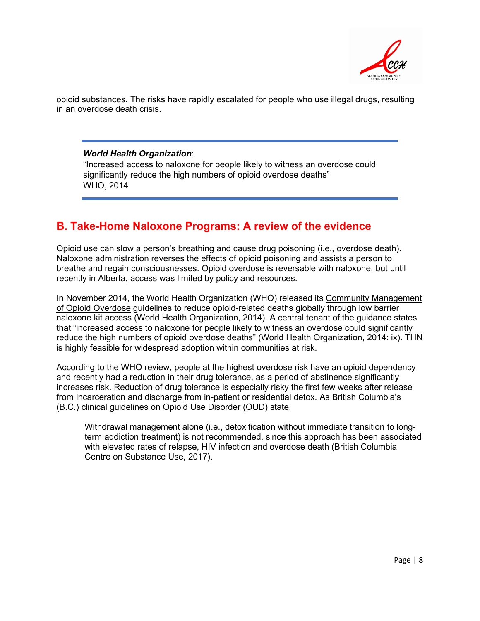

opioid substances. The risks have rapidly escalated for people who use illegal drugs, resulting in an overdose death crisis.

#### *World Health Organization*:

"Increased access to naloxone for people likely to witness an overdose could significantly reduce the high numbers of opioid overdose deaths" WHO, 2014

### <span id="page-7-0"></span>**B. Take-Home Naloxone Programs: A review of the evidence**

Opioid use can slow a person's breathing and cause drug poisoning (i.e., overdose death). Naloxone administration reverses the effects of opioid poisoning and assists a person to breathe and regain consciousnesses. Opioid overdose is reversable with naloxone, but until recently in Alberta, access was limited by policy and resources.

In November 2014, the World Health Organization (WHO) released its Community Management [of Opioid Overdose](https://apps.who.int/iris/bitstream/handle/10665/137462/9789241548816_eng.pdf?sequence=1) guidelines to reduce opioid-related deaths globally through low barrier naloxone kit access (World Health Organization, 2014). A central tenant of the guidance states that "increased access to naloxone for people likely to witness an overdose could significantly reduce the high numbers of opioid overdose deaths" (World Health Organization, 2014: ix). THN is highly feasible for widespread adoption within communities at risk.

According to the WHO review, people at the highest overdose risk have an opioid dependency and recently had a reduction in their drug tolerance, as a period of abstinence significantly increases risk. Reduction of drug tolerance is especially risky the first few weeks after release from incarceration and discharge from in-patient or residential detox. As British Columbia's (B.C.) clinical guidelines on Opioid Use Disorder (OUD) state,

Withdrawal management alone (i.e., detoxification without immediate transition to longterm addiction treatment) is not recommended, since this approach has been associated with elevated rates of relapse, HIV infection and overdose death (British Columbia Centre on Substance Use, 2017).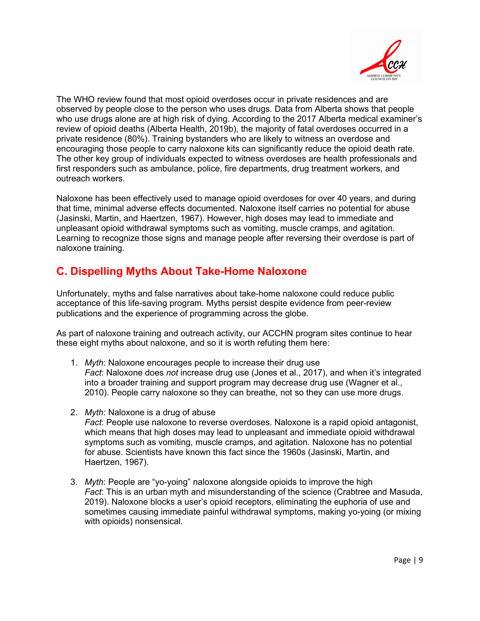

The WHO review found that most opioid overdoses occur in private residences and are observed by people close to the person who uses drugs. Data from Alberta shows that people who use drugs alone are at high risk of dying. According to the 2017 Alberta medical examiner's review of opioid deaths (Alberta Health, 2019b), the majority of fatal overdoses occurred in a private residence (80%). Training bystanders who are likely to witness an overdose and encouraging those people to carry naloxone kits can significantly reduce the opioid death rate. The other key group of individuals expected to witness overdoses are health professionals and first responders such as ambulance, police, fire departments, drug treatment workers, and outreach workers.

Naloxone has been effectively used to manage opioid overdoses for over 40 years, and during that time, minimal adverse effects documented. Naloxone itself carries no potential for abuse (Jasinski, Martin, and Haertzen, 1967). However, high doses may lead to immediate and unpleasant opioid withdrawal symptoms such as vomiting, muscle cramps, and agitation. Learning to recognize those signs and manage people after reversing their overdose is part of naloxone training.

### <span id="page-8-0"></span>**C. Dispelling Myths About Take-Home Naloxone**

Unfortunately, myths and false narratives about take-home naloxone could reduce public acceptance of this life-saving program. Myths persist despite evidence from peer-review publications and the experience of programming across the globe.

As part of naloxone training and outreach activity, our ACCHN program sites continue to hear these eight myths about naloxone, and so it is worth refuting them here:

- 1. *Myth*: Naloxone encourages people to increase their drug use *Fact*: Naloxone does *not* increase drug use (Jones et al., 2017), and when it's integrated into a broader training and support program may decrease drug use (Wagner et al., 2010). People carry naloxone so they can breathe, not so they can use more drugs.
- 2. *Myth*: Naloxone is a drug of abuse *Fact*: People use naloxone to reverse overdoses. Naloxone is a rapid opioid antagonist, which means that high doses may lead to unpleasant and immediate opioid withdrawal symptoms such as vomiting, muscle cramps, and agitation. Naloxone has no potential for abuse. Scientists have known this fact since the 1960s (Jasinski, Martin, and Haertzen, 1967).
- 3. *Myth*: People are "yo-yoing" naloxone alongside opioids to improve the high *Fact*: This is an urban myth and misunderstanding of the science (Crabtree and Masuda, 2019). Naloxone blocks a user's opioid receptors, eliminating the euphoria of use and sometimes causing immediate painful withdrawal symptoms, making yo-yoing (or mixing with opioids) nonsensical.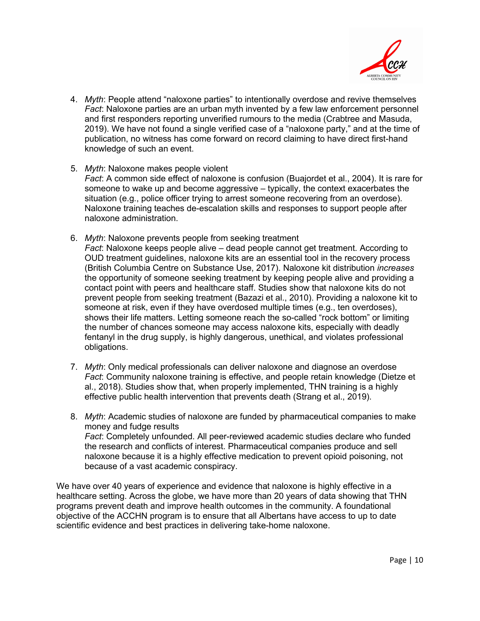

- 4. *Myth*: People attend "naloxone parties" to intentionally overdose and revive themselves *Fact*: Naloxone parties are an urban myth invented by a few law enforcement personnel and first responders reporting unverified rumours to the media (Crabtree and Masuda, 2019). We have not found a single verified case of a "naloxone party," and at the time of publication, no witness has come forward on record claiming to have direct first-hand knowledge of such an event.
- 5. *Myth*: Naloxone makes people violent *Fact*: A common side effect of naloxone is confusion (Buajordet et al., 2004). It is rare for someone to wake up and become aggressive – typically, the context exacerbates the situation (e.g., police officer trying to arrest someone recovering from an overdose). Naloxone training teaches de-escalation skills and responses to support people after naloxone administration.
- 6. *Myth*: Naloxone prevents people from seeking treatment *Fact*: Naloxone keeps people alive – dead people cannot get treatment. According to OUD treatment guidelines, naloxone kits are an essential tool in the recovery process (British Columbia Centre on Substance Use, 2017). Naloxone kit distribution *increases*  the opportunity of someone seeking treatment by keeping people alive and providing a contact point with peers and healthcare staff. Studies show that naloxone kits do not prevent people from seeking treatment (Bazazi et al., 2010). Providing a naloxone kit to someone at risk, even if they have overdosed multiple times (e.g., ten overdoses), shows their life matters. Letting someone reach the so-called "rock bottom" or limiting the number of chances someone may access naloxone kits, especially with deadly fentanyl in the drug supply, is highly dangerous, unethical, and violates professional obligations.
- 7. *Myth*: Only medical professionals can deliver naloxone and diagnose an overdose *Fact*: Community naloxone training is effective, and people retain knowledge (Dietze et al., 2018). Studies show that, when properly implemented, THN training is a highly effective public health intervention that prevents death (Strang et al., 2019).
- 8. *Myth*: Academic studies of naloxone are funded by pharmaceutical companies to make money and fudge results *Fact*: Completely unfounded. All peer-reviewed academic studies declare who funded the research and conflicts of interest. Pharmaceutical companies produce and sell naloxone because it is a highly effective medication to prevent opioid poisoning, not because of a vast academic conspiracy.

<span id="page-9-0"></span>We have over 40 years of experience and evidence that naloxone is highly effective in a healthcare setting. Across the globe, we have more than 20 years of data showing that THN programs prevent death and improve health outcomes in the community. A foundational objective of the ACCHN program is to ensure that all Albertans have access to up to date scientific evidence and best practices in delivering take-home naloxone.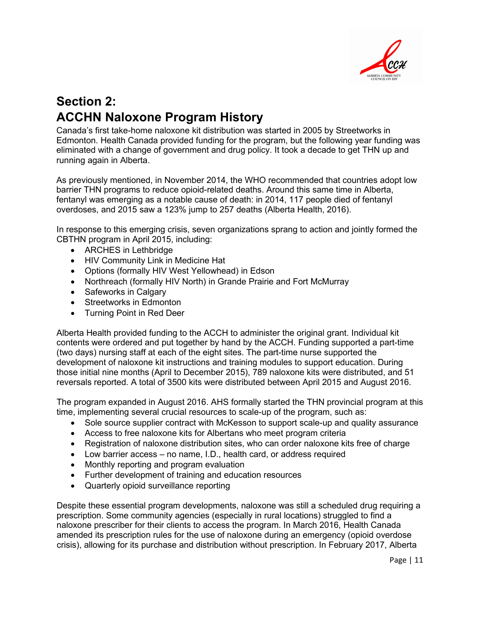

# **Section 2: ACCHN Naloxone Program History**

Canada's first take-home naloxone kit distribution was started in 2005 by Streetworks in Edmonton. Health Canada provided funding for the program, but the following year funding was eliminated with a change of government and drug policy. It took a decade to get THN up and running again in Alberta.

As previously mentioned, in November 2014, the WHO recommended that countries adopt low barrier THN programs to reduce opioid-related deaths. Around this same time in Alberta, fentanyl was emerging as a notable cause of death: in 2014, 117 people died of fentanyl overdoses, and 2015 saw a 123% jump to 257 deaths (Alberta Health, 2016).

In response to this emerging crisis, seven organizations sprang to action and jointly formed the CBTHN program in April 2015, including:

- ARCHES in Lethbridge
- HIV Community Link in Medicine Hat
- Options (formally HIV West Yellowhead) in Edson
- Northreach (formally HIV North) in Grande Prairie and Fort McMurray
- Safeworks in Calgary
- Streetworks in Edmonton
- Turning Point in Red Deer

Alberta Health provided funding to the ACCH to administer the original grant. Individual kit contents were ordered and put together by hand by the ACCH. Funding supported a part-time (two days) nursing staff at each of the eight sites. The part-time nurse supported the development of naloxone kit instructions and training modules to support education. During those initial nine months (April to December 2015), 789 naloxone kits were distributed, and 51 reversals reported. A total of 3500 kits were distributed between April 2015 and August 2016.

The program expanded in August 2016. AHS formally started the THN provincial program at this time, implementing several crucial resources to scale-up of the program, such as:

- Sole source supplier contract with McKesson to support scale-up and quality assurance
- Access to free naloxone kits for Albertans who meet program criteria
- Registration of naloxone distribution sites, who can order naloxone kits free of charge
- Low barrier access no name, I.D., health card, or address required
- Monthly reporting and program evaluation
- Further development of training and education resources
- Quarterly opioid surveillance reporting

Despite these essential program developments, naloxone was still a scheduled drug requiring a prescription. Some community agencies (especially in rural locations) struggled to find a naloxone prescriber for their clients to access the program. In March 2016, Health Canada amended its prescription rules for the use of naloxone during an emergency (opioid overdose crisis), allowing for its purchase and distribution without prescription. In February 2017, Alberta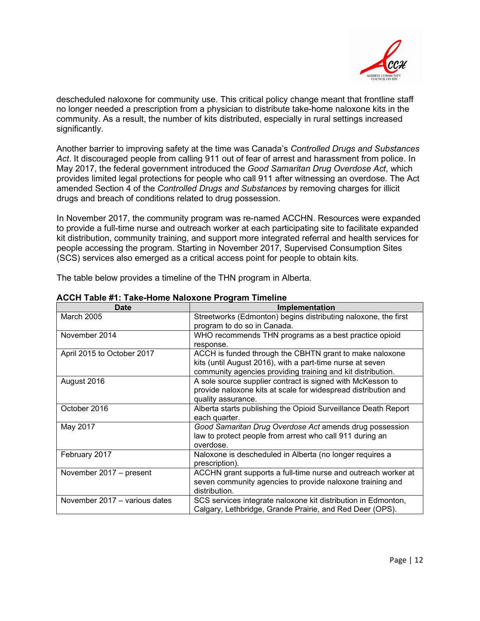

descheduled naloxone for community use. This critical policy change meant that frontline staff no longer needed a prescription from a physician to distribute take-home naloxone kits in the community. As a result, the number of kits distributed, especially in rural settings increased significantly.

Another barrier to improving safety at the time was Canada's *Controlled Drugs and Substances Act*. It discouraged people from calling 911 out of fear of arrest and harassment from police. In May 2017, the federal government introduced the *Good Samaritan Drug Overdose Act*, which provides limited legal protections for people who call 911 after witnessing an overdose. The Act amended Section 4 of the *Controlled Drugs and Substances* by removing charges for illicit drugs and breach of conditions related to drug possession.

In November 2017, the community program was re-named ACCHN. Resources were expanded to provide a full-time nurse and outreach worker at each participating site to facilitate expanded kit distribution, community training, and support more integrated referral and health services for people accessing the program. Starting in November 2017, Supervised Consumption Sites (SCS) services also emerged as a critical access point for people to obtain kits.

The table below provides a timeline of the THN program in Alberta.

<span id="page-11-0"></span>

| <b>Date</b>                   | Implementation                                                                                                                                                                      |
|-------------------------------|-------------------------------------------------------------------------------------------------------------------------------------------------------------------------------------|
| <b>March 2005</b>             | Streetworks (Edmonton) begins distributing naloxone, the first<br>program to do so in Canada.                                                                                       |
| November 2014                 | WHO recommends THN programs as a best practice opioid<br>response.                                                                                                                  |
| April 2015 to October 2017    | ACCH is funded through the CBHTN grant to make naloxone<br>kits (until August 2016), with a part-time nurse at seven<br>community agencies providing training and kit distribution. |
| August 2016                   | A sole source supplier contract is signed with McKesson to<br>provide naloxone kits at scale for widespread distribution and<br>quality assurance.                                  |
| October 2016                  | Alberta starts publishing the Opioid Surveillance Death Report<br>each quarter.                                                                                                     |
| May 2017                      | Good Samaritan Drug Overdose Act amends drug possession<br>law to protect people from arrest who call 911 during an<br>overdose.                                                    |
| February 2017                 | Naloxone is descheduled in Alberta (no longer requires a<br>prescription).                                                                                                          |
| November 2017 - present       | ACCHN grant supports a full-time nurse and outreach worker at<br>seven community agencies to provide naloxone training and<br>distribution.                                         |
| November 2017 - various dates | SCS services integrate naloxone kit distribution in Edmonton,<br>Calgary, Lethbridge, Grande Prairie, and Red Deer (OPS).                                                           |

#### **ACCH Table #1: Take-Home Naloxone Program Timeline**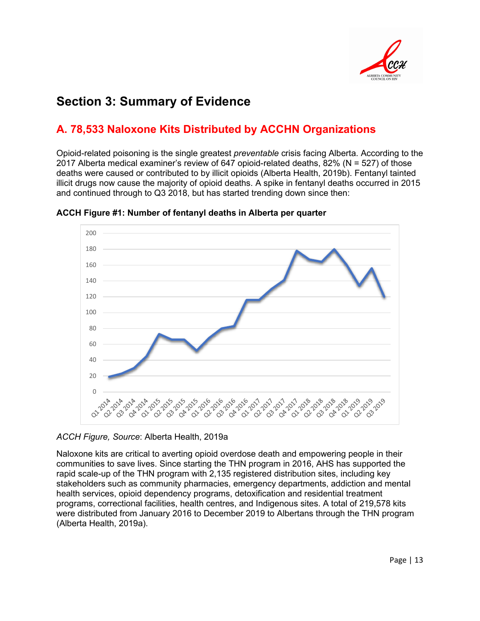

# **Section 3: Summary of Evidence**

## **A. 78,533 Naloxone Kits Distributed by ACCHN Organizations**

Opioid-related poisoning is the single greatest *preventable* crisis facing Alberta. According to the 2017 Alberta medical examiner's review of 647 opioid-related deaths, 82% (N = 527) of those deaths were caused or contributed to by illicit opioids (Alberta Health, 2019b). Fentanyl tainted illicit drugs now cause the majority of opioid deaths. A spike in fentanyl deaths occurred in 2015 and continued through to Q3 2018, but has started trending down since then:



**ACCH Figure #1: Number of fentanyl deaths in Alberta per quarter**

*ACCH Figure, Source*: Alberta Health, 2019a

Naloxone kits are critical to averting opioid overdose death and empowering people in their communities to save lives. Since starting the THN program in 2016, AHS has supported the rapid scale-up of the THN program with 2,135 registered distribution sites, including key stakeholders such as community pharmacies, emergency departments, addiction and mental health services, opioid dependency programs, detoxification and residential treatment programs, correctional facilities, health centres, and Indigenous sites. A total of 219,578 kits were distributed from January 2016 to December 2019 to Albertans through the THN program (Alberta Health, 2019a).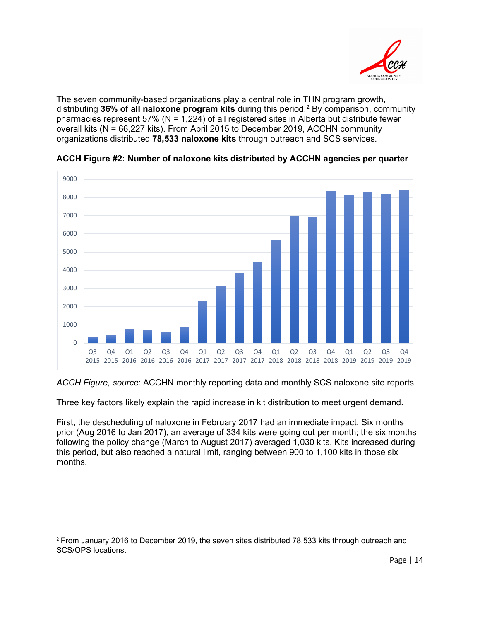

The seven community-based organizations play a central role in THN program growth, distributing **36% of all naloxone program kits** during this period.[2](#page-13-0) By comparison, community pharmacies represent 57% (N = 1,224) of all registered sites in Alberta but distribute fewer overall kits (N = 66,227 kits). From April 2015 to December 2019, ACCHN community organizations distributed **78,533 naloxone kits** through outreach and SCS services.



**ACCH Figure #2: Number of naloxone kits distributed by ACCHN agencies per quarter**

#### *ACCH Figure, source*: ACCHN monthly reporting data and monthly SCS naloxone site reports

Three key factors likely explain the rapid increase in kit distribution to meet urgent demand.

First, the descheduling of naloxone in February 2017 had an immediate impact. Six months prior (Aug 2016 to Jan 2017), an average of 334 kits were going out per month; the six months following the policy change (March to August 2017) averaged 1,030 kits. Kits increased during this period, but also reached a natural limit, ranging between 900 to 1,100 kits in those six months.

<span id="page-13-0"></span><sup>&</sup>lt;sup>2</sup> From January 2016 to December 2019, the seven sites distributed 78,533 kits through outreach and SCS/OPS locations.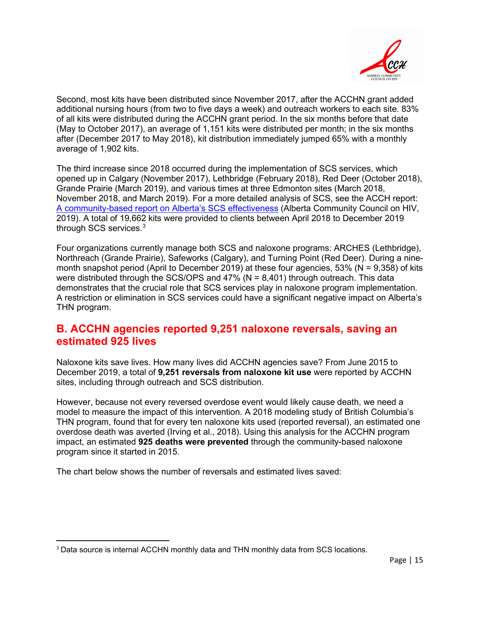

Second, most kits have been distributed since November 2017, after the ACCHN grant added additional nursing hours (from two to five days a week) and outreach workers to each site. 83% of all kits were distributed during the ACCHN grant period. In the six months before that date (May to October 2017), an average of 1,151 kits were distributed per month; in the six months after (December 2017 to May 2018), kit distribution immediately jumped 65% with a monthly average of 1,902 kits.

The third increase since 2018 occurred during the implementation of SCS services, which opened up in Calgary (November 2017), Lethbridge (February 2018), Red Deer (October 2018), Grande Prairie (March 2019), and various times at three Edmonton sites (March 2018, November 2018, and March 2019). For a more detailed analysis of SCS, see the ACCH report: [A community-based report on Alberta's SCS effectiveness](https://acch.ca/media/1113/a-community-based-report-on-albertas-scs-effectiveness-2019-09-13-version-2.pdf) (Alberta Community Council on HIV, 2019). A total of 19,662 kits were provided to clients between April 2018 to December 2019 through SCS services. $^3$  $^3$ 

Four organizations currently manage both SCS and naloxone programs: ARCHES (Lethbridge), Northreach (Grande Prairie), Safeworks (Calgary), and Turning Point (Red Deer). During a ninemonth snapshot period (April to December 2019) at these four agencies, 53% (N = 9,358) of kits were distributed through the SCS/OPS and  $47\%$  (N = 8,401) through outreach. This data demonstrates that the crucial role that SCS services play in naloxone program implementation. A restriction or elimination in SCS services could have a significant negative impact on Alberta's THN program.

### <span id="page-14-0"></span>**B. ACCHN agencies reported 9,251 naloxone reversals, saving an estimated 925 lives**

Naloxone kits save lives. How many lives did ACCHN agencies save? From June 2015 to December 2019, a total of **9,251 reversals from naloxone kit use** were reported by ACCHN sites, including through outreach and SCS distribution.

However, because not every reversed overdose event would likely cause death, we need a model to measure the impact of this intervention. A 2018 modeling study of British Columbia's THN program, found that for every ten naloxone kits used (reported reversal), an estimated one overdose death was averted (Irving et al., 2018). Using this analysis for the ACCHN program impact, an estimated **925 deaths were prevented** through the community-based naloxone program since it started in 2015.

The chart below shows the number of reversals and estimated lives saved:

<span id="page-14-1"></span><sup>3</sup> Data source is internal ACCHN monthly data and THN monthly data from SCS locations.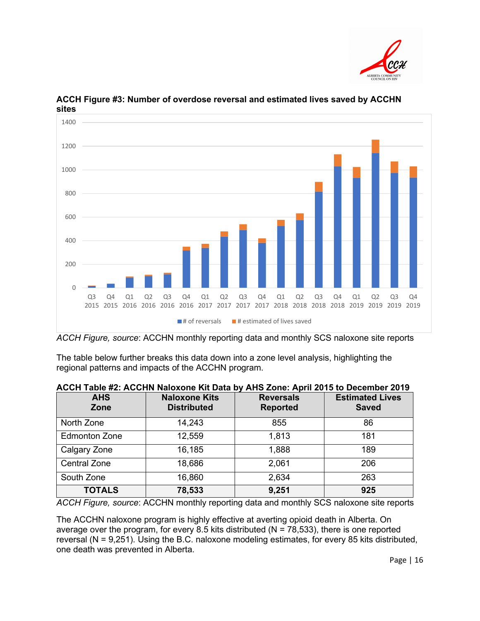



**ACCH Figure #3: Number of overdose reversal and estimated lives saved by ACCHN sites**

*ACCH Figure, source*: ACCHN monthly reporting data and monthly SCS naloxone site reports

The table below further breaks this data down into a zone level analysis, highlighting the regional patterns and impacts of the ACCHN program.

| <b>AHS</b><br>Zone   | <b>Naloxone Kits</b><br><b>Distributed</b> | <b>Reversals</b><br><b>Reported</b> | <b>Estimated Lives</b><br><b>Saved</b> |
|----------------------|--------------------------------------------|-------------------------------------|----------------------------------------|
| North Zone           | 14,243                                     | 855                                 | 86                                     |
| <b>Edmonton Zone</b> | 12,559                                     | 1,813                               | 181                                    |
| Calgary Zone         | 16,185                                     | 1,888                               | 189                                    |
| <b>Central Zone</b>  | 18,686                                     | 2,061                               | 206                                    |
| South Zone           | 16,860                                     | 2,634                               | 263                                    |
| <b>TOTALS</b>        | 78,533                                     | 9,251                               | 925                                    |

*ACCH Figure, source*: ACCHN monthly reporting data and monthly SCS naloxone site reports

The ACCHN naloxone program is highly effective at averting opioid death in Alberta. On average over the program, for every 8.5 kits distributed ( $N = 78,533$ ), there is one reported reversal (N = 9,251). Using the B.C. naloxone modeling estimates, for every 85 kits distributed, one death was prevented in Alberta.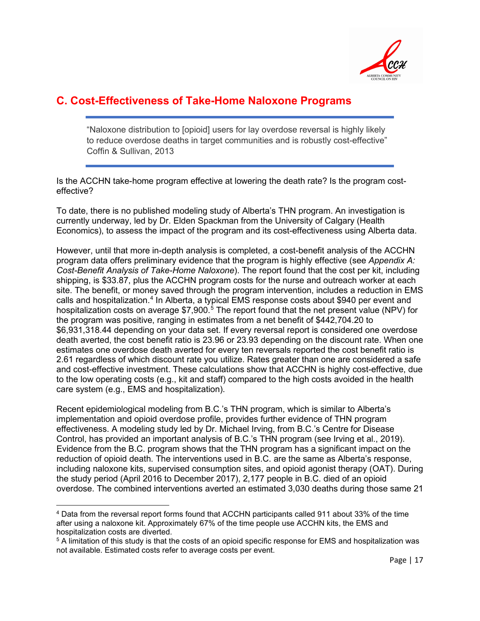

### <span id="page-16-0"></span>**C. Cost-Effectiveness of Take-Home Naloxone Programs**

"Naloxone distribution to [opioid] users for lay overdose reversal is highly likely to reduce overdose deaths in target communities and is robustly cost-effective" Coffin & Sullivan, 2013

Is the ACCHN take-home program effective at lowering the death rate? Is the program costeffective?

To date, there is no published modeling study of Alberta's THN program. An investigation is currently underway, led by Dr. Elden Spackman from the University of Calgary (Health Economics), to assess the impact of the program and its cost-effectiveness using Alberta data.

However, until that more in-depth analysis is completed, a cost-benefit analysis of the ACCHN program data offers preliminary evidence that the program is highly effective (see *Appendix A: Cost-Benefit Analysis of Take-Home Naloxone*). The report found that the cost per kit, including shipping, is \$33.87, plus the ACCHN program costs for the nurse and outreach worker at each site. The benefit, or money saved through the program intervention, includes a reduction in EMS calls and hospitalization.<sup>[4](#page-16-1)</sup> In Alberta, a typical EMS response costs about \$940 per event and hospitalization costs on average \$7,900.<sup>[5](#page-16-2)</sup> The report found that the net present value (NPV) for the program was positive, ranging in estimates from a net benefit of \$442,704.20 to \$6,931,318.44 depending on your data set. If every reversal report is considered one overdose death averted, the cost benefit ratio is 23.96 or 23.93 depending on the discount rate. When one estimates one overdose death averted for every ten reversals reported the cost benefit ratio is 2.61 regardless of which discount rate you utilize. Rates greater than one are considered a safe and cost-effective investment. These calculations show that ACCHN is highly cost-effective, due to the low operating costs (e.g., kit and staff) compared to the high costs avoided in the health care system (e.g., EMS and hospitalization).

Recent epidemiological modeling from B.C.'s THN program, which is similar to Alberta's implementation and opioid overdose profile, provides further evidence of THN program effectiveness. A modeling study led by Dr. Michael Irving, from B.C.'s Centre for Disease Control, has provided an important analysis of B.C.'s THN program (see Irving et al., 2019). Evidence from the B.C. program shows that the THN program has a significant impact on the reduction of opioid death. The interventions used in B.C. are the same as Alberta's response, including naloxone kits, supervised consumption sites, and opioid agonist therapy (OAT). During the study period (April 2016 to December 2017), 2,177 people in B.C. died of an opioid overdose. The combined interventions averted an estimated 3,030 deaths during those same 21

<span id="page-16-1"></span><sup>4</sup> Data from the reversal report forms found that ACCHN participants called 911 about 33% of the time after using a naloxone kit. Approximately 67% of the time people use ACCHN kits, the EMS and hospitalization costs are diverted.

<span id="page-16-2"></span><sup>5</sup> A limitation of this study is that the costs of an opioid specific response for EMS and hospitalization was not available. Estimated costs refer to average costs per event.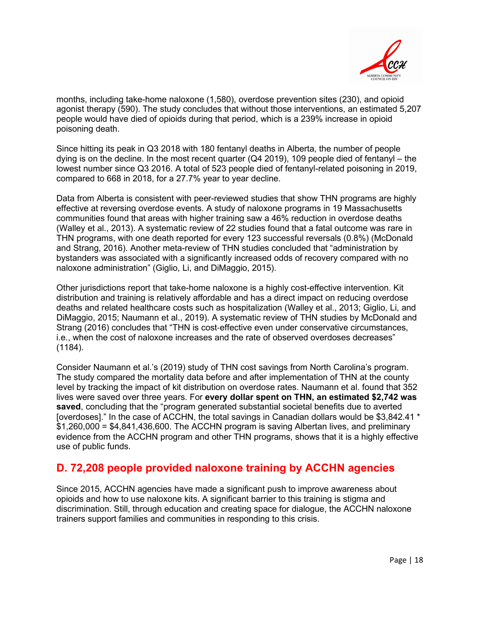

months, including take-home naloxone (1,580), overdose prevention sites (230), and opioid agonist therapy (590). The study concludes that without those interventions, an estimated 5,207 people would have died of opioids during that period, which is a 239% increase in opioid poisoning death.

Since hitting its peak in Q3 2018 with 180 fentanyl deaths in Alberta, the number of people dying is on the decline. In the most recent quarter  $(Q4 2019)$ , 109 people died of fentanyl – the lowest number since Q3 2016. A total of 523 people died of fentanyl-related poisoning in 2019, compared to 668 in 2018, for a 27.7% year to year decline.

Data from Alberta is consistent with peer-reviewed studies that show THN programs are highly effective at reversing overdose events. A study of naloxone programs in 19 Massachusetts communities found that areas with higher training saw a 46% reduction in overdose deaths (Walley et al., 2013). A systematic review of 22 studies found that a fatal outcome was rare in THN programs, with one death reported for every 123 successful reversals (0.8%) (McDonald and Strang, 2016). Another meta-review of THN studies concluded that "administration by bystanders was associated with a significantly increased odds of recovery compared with no naloxone administration" (Giglio, Li, and DiMaggio, 2015).

Other jurisdictions report that take-home naloxone is a highly cost-effective intervention. Kit distribution and training is relatively affordable and has a direct impact on reducing overdose deaths and related healthcare costs such as hospitalization (Walley et al., 2013; Giglio, Li, and DiMaggio, 2015; Naumann et al., 2019). A systematic review of THN studies by McDonald and Strang (2016) concludes that "THN is cost-effective even under conservative circumstances, i.e., when the cost of naloxone increases and the rate of observed overdoses decreases" (1184).

Consider Naumann et al.'s (2019) study of THN cost savings from North Carolina's program. The study compared the mortality data before and after implementation of THN at the county level by tracking the impact of kit distribution on overdose rates. Naumann et al. found that 352 lives were saved over three years. For **every dollar spent on THN, an estimated \$2,742 was saved**, concluding that the "program generated substantial societal benefits due to averted [overdoses]." In the case of ACCHN, the total savings in Canadian dollars would be \$3,842.41 \* \$1,260,000 = \$4,841,436,600. The ACCHN program is saving Albertan lives, and preliminary evidence from the ACCHN program and other THN programs, shows that it is a highly effective use of public funds.

### **D. 72,208 people provided naloxone training by ACCHN agencies**

Since 2015, ACCHN agencies have made a significant push to improve awareness about opioids and how to use naloxone kits. A significant barrier to this training is stigma and discrimination. Still, through education and creating space for dialogue, the ACCHN naloxone trainers support families and communities in responding to this crisis.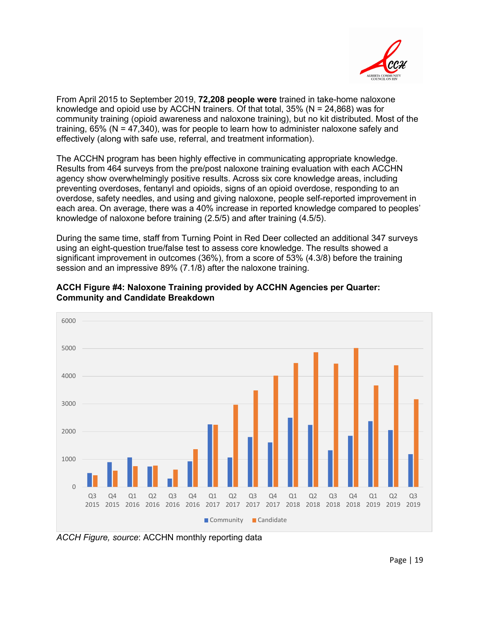

From April 2015 to September 2019, **72,208 people were** trained in take-home naloxone knowledge and opioid use by ACCHN trainers. Of that total,  $35\%$  (N = 24,868) was for community training (opioid awareness and naloxone training), but no kit distributed. Most of the training,  $65\%$  (N = 47,340), was for people to learn how to administer naloxone safely and effectively (along with safe use, referral, and treatment information).

The ACCHN program has been highly effective in communicating appropriate knowledge. Results from 464 surveys from the pre/post naloxone training evaluation with each ACCHN agency show overwhelmingly positive results. Across six core knowledge areas, including preventing overdoses, fentanyl and opioids, signs of an opioid overdose, responding to an overdose, safety needles, and using and giving naloxone, people self-reported improvement in each area. On average, there was a 40% increase in reported knowledge compared to peoples' knowledge of naloxone before training (2.5/5) and after training (4.5/5).

During the same time, staff from Turning Point in Red Deer collected an additional 347 surveys using an eight-question true/false test to assess core knowledge. The results showed a significant improvement in outcomes (36%), from a score of 53% (4.3/8) before the training session and an impressive 89% (7.1/8) after the naloxone training.



**ACCH Figure #4: Naloxone Training provided by ACCHN Agencies per Quarter: Community and Candidate Breakdown**

*ACCH Figure, source*: ACCHN monthly reporting data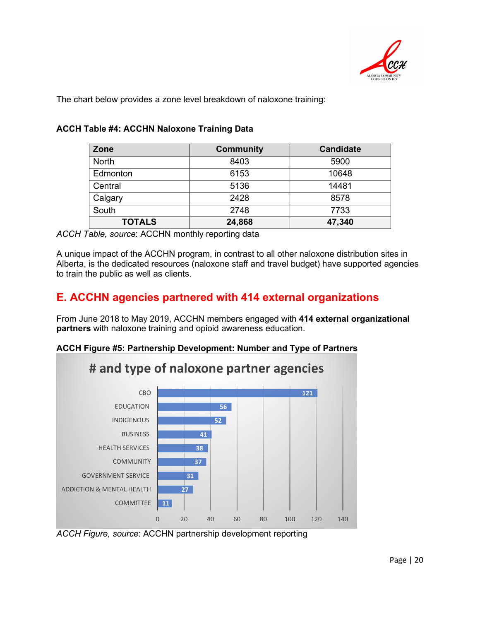

The chart below provides a zone level breakdown of naloxone training:

| Zone          | <b>Community</b> | <b>Candidate</b> |  |
|---------------|------------------|------------------|--|
| <b>North</b>  | 8403             | 5900             |  |
| Edmonton      | 6153             | 10648            |  |
| Central       | 5136             | 14481            |  |
| Calgary       | 2428             | 8578             |  |
| South         | 2748             | 7733             |  |
| <b>TOTALS</b> | 24,868           | 47,340           |  |

#### **ACCH Table #4: ACCHN Naloxone Training Data**

*ACCH Table, source*: ACCHN monthly reporting data

A unique impact of the ACCHN program, in contrast to all other naloxone distribution sites in Alberta, is the dedicated resources (naloxone staff and travel budget) have supported agencies to train the public as well as clients.

### **E. ACCHN agencies partnered with 414 external organizations**

From June 2018 to May 2019, ACCHN members engaged with **414 external organizational partners** with naloxone training and opioid awareness education.

#### **ACCH Figure #5: Partnership Development: Number and Type of Partners**



*ACCH Figure, source*: ACCHN partnership development reporting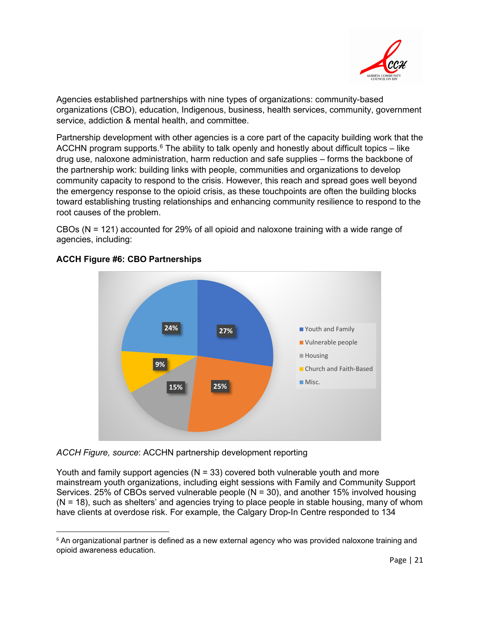

Agencies established partnerships with nine types of organizations: community-based organizations (CBO), education, Indigenous, business, health services, community, government service, addiction & mental health, and committee.

Partnership development with other agencies is a core part of the capacity building work that the ACCHN program supports. $6$  The ability to talk openly and honestly about difficult topics – like drug use, naloxone administration, harm reduction and safe supplies – forms the backbone of the partnership work: building links with people, communities and organizations to develop community capacity to respond to the crisis. However, this reach and spread goes well beyond the emergency response to the opioid crisis, as these touchpoints are often the building blocks toward establishing trusting relationships and enhancing community resilience to respond to the root causes of the problem.

CBOs (N = 121) accounted for 29% of all opioid and naloxone training with a wide range of agencies, including:



#### **ACCH Figure #6: CBO Partnerships**

*ACCH Figure, source*: ACCHN partnership development reporting

Youth and family support agencies ( $N = 33$ ) covered both vulnerable youth and more mainstream youth organizations, including eight sessions with Family and Community Support Services. 25% of CBOs served vulnerable people (N = 30), and another 15% involved housing  $(N = 18)$ , such as shelters' and agencies trying to place people in stable housing, many of whom have clients at overdose risk. For example, the Calgary Drop-In Centre responded to 134

<span id="page-20-0"></span><sup>&</sup>lt;sup>6</sup> An organizational partner is defined as a new external agency who was provided naloxone training and opioid awareness education.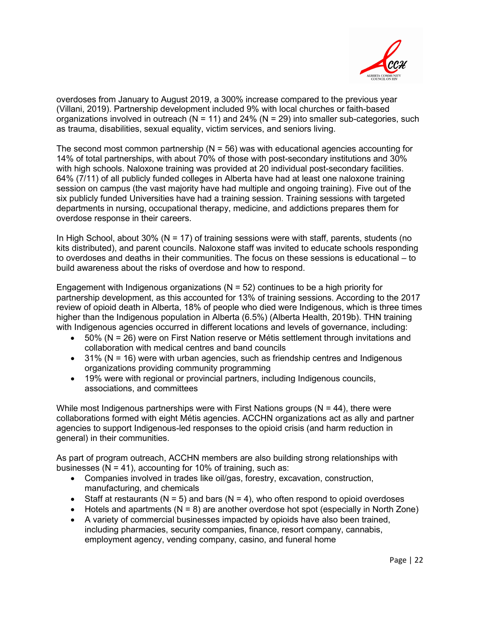

overdoses from January to August 2019, a 300% increase compared to the previous year (Villani, 2019). Partnership development included 9% with local churches or faith-based organizations involved in outreach ( $N = 11$ ) and 24% ( $N = 29$ ) into smaller sub-categories, such as trauma, disabilities, sexual equality, victim services, and seniors living.

The second most common partnership ( $N = 56$ ) was with educational agencies accounting for 14% of total partnerships, with about 70% of those with post-secondary institutions and 30% with high schools. Naloxone training was provided at 20 individual post-secondary facilities. 64% (7/11) of all publicly funded colleges in Alberta have had at least one naloxone training session on campus (the vast majority have had multiple and ongoing training). Five out of the six publicly funded Universities have had a training session. Training sessions with targeted departments in nursing, occupational therapy, medicine, and addictions prepares them for overdose response in their careers.

In High School, about  $30\%$  (N = 17) of training sessions were with staff, parents, students (no kits distributed), and parent councils. Naloxone staff was invited to educate schools responding to overdoses and deaths in their communities. The focus on these sessions is educational – to build awareness about the risks of overdose and how to respond.

Engagement with Indigenous organizations  $(N = 52)$  continues to be a high priority for partnership development, as this accounted for 13% of training sessions. According to the 2017 review of opioid death in Alberta, 18% of people who died were Indigenous, which is three times higher than the Indigenous population in Alberta (6.5%) (Alberta Health, 2019b). THN training with Indigenous agencies occurred in different locations and levels of governance, including:

- 50% (N = 26) were on First Nation reserve or Métis settlement through invitations and collaboration with medical centres and band councils
- $\bullet$  31% (N = 16) were with urban agencies, such as friendship centres and Indigenous organizations providing community programming
- 19% were with regional or provincial partners, including Indigenous councils, associations, and committees

While most Indigenous partnerships were with First Nations groups  $(N = 44)$ , there were collaborations formed with eight Métis agencies. ACCHN organizations act as ally and partner agencies to support Indigenous-led responses to the opioid crisis (and harm reduction in general) in their communities.

As part of program outreach, ACCHN members are also building strong relationships with businesses ( $N = 41$ ), accounting for 10% of training, such as:

- Companies involved in trades like oil/gas, forestry, excavation, construction, manufacturing, and chemicals
- Staff at restaurants ( $N = 5$ ) and bars ( $N = 4$ ), who often respond to opioid overdoses
- Hotels and apartments ( $N = 8$ ) are another overdose hot spot (especially in North Zone)
- A variety of commercial businesses impacted by opioids have also been trained, including pharmacies, security companies, finance, resort company, cannabis, employment agency, vending company, casino, and funeral home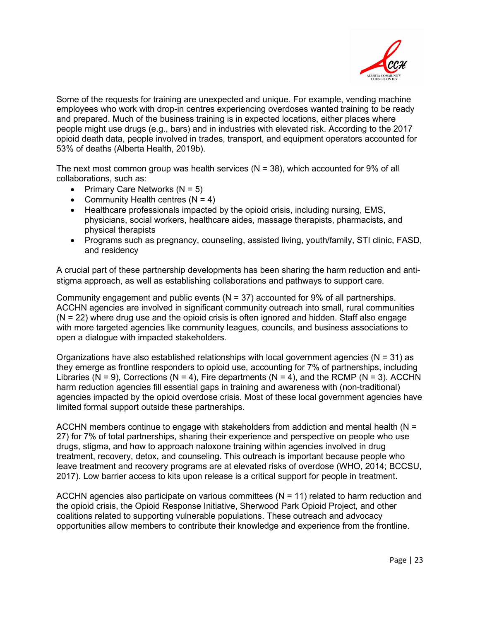

Some of the requests for training are unexpected and unique. For example, vending machine employees who work with drop-in centres experiencing overdoses wanted training to be ready and prepared. Much of the business training is in expected locations, either places where people might use drugs (e.g., bars) and in industries with elevated risk. According to the 2017 opioid death data, people involved in trades, transport, and equipment operators accounted for 53% of deaths (Alberta Health, 2019b).

The next most common group was health services  $(N = 38)$ , which accounted for 9% of all collaborations, such as:

- Primary Care Networks  $(N = 5)$
- Community Health centres  $(N = 4)$
- Healthcare professionals impacted by the opioid crisis, including nursing, EMS, physicians, social workers, healthcare aides, massage therapists, pharmacists, and physical therapists
- Programs such as pregnancy, counseling, assisted living, youth/family, STI clinic, FASD, and residency

A crucial part of these partnership developments has been sharing the harm reduction and antistigma approach, as well as establishing collaborations and pathways to support care.

Community engagement and public events  $(N = 37)$  accounted for 9% of all partnerships. ACCHN agencies are involved in significant community outreach into small, rural communities  $(N = 22)$  where drug use and the opioid crisis is often ignored and hidden. Staff also engage with more targeted agencies like community leagues, councils, and business associations to open a dialogue with impacted stakeholders.

Organizations have also established relationships with local government agencies ( $N = 31$ ) as they emerge as frontline responders to opioid use, accounting for 7% of partnerships, including Libraries (N = 9), Corrections (N = 4), Fire departments (N = 4), and the RCMP (N = 3). ACCHN harm reduction agencies fill essential gaps in training and awareness with (non-traditional) agencies impacted by the opioid overdose crisis. Most of these local government agencies have limited formal support outside these partnerships.

ACCHN members continue to engage with stakeholders from addiction and mental health (N = 27) for 7% of total partnerships, sharing their experience and perspective on people who use drugs, stigma, and how to approach naloxone training within agencies involved in drug treatment, recovery, detox, and counseling. This outreach is important because people who leave treatment and recovery programs are at elevated risks of overdose (WHO, 2014; BCCSU, 2017). Low barrier access to kits upon release is a critical support for people in treatment.

ACCHN agencies also participate on various committees ( $N = 11$ ) related to harm reduction and the opioid crisis, the Opioid Response Initiative, Sherwood Park Opioid Project, and other coalitions related to supporting vulnerable populations. These outreach and advocacy opportunities allow members to contribute their knowledge and experience from the frontline.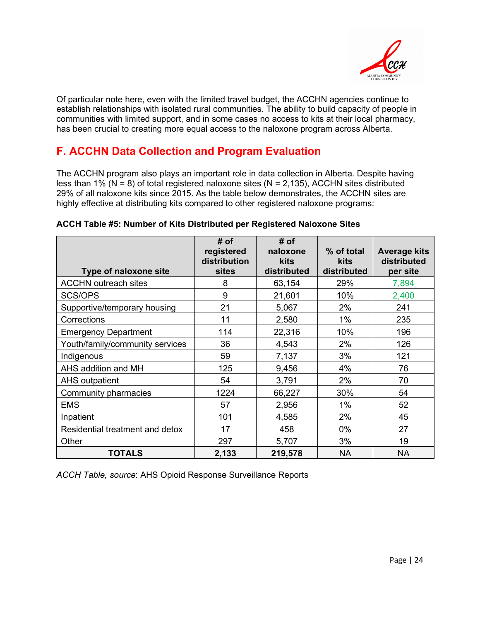

Of particular note here, even with the limited travel budget, the ACCHN agencies continue to establish relationships with isolated rural communities. The ability to build capacity of people in communities with limited support, and in some cases no access to kits at their local pharmacy, has been crucial to creating more equal access to the naloxone program across Alberta.

### **F. ACCHN Data Collection and Program Evaluation**

The ACCHN program also plays an important role in data collection in Alberta. Despite having less than 1% (N = 8) of total registered naloxone sites (N = 2,135), ACCHN sites distributed 29% of all naloxone kits since 2015. As the table below demonstrates, the ACCHN sites are highly effective at distributing kits compared to other registered naloxone programs:

| Type of naloxone site           | # of<br>registered<br>distribution<br><b>sites</b> | # of<br>naloxone<br>kits<br>distributed | % of total<br><b>kits</b><br>distributed | <b>Average kits</b><br>distributed<br>per site |
|---------------------------------|----------------------------------------------------|-----------------------------------------|------------------------------------------|------------------------------------------------|
| <b>ACCHN outreach sites</b>     | 8                                                  | 63,154                                  | 29%                                      | 7,894                                          |
| SCS/OPS                         | 9                                                  | 21,601                                  | 10%                                      | 2,400                                          |
| Supportive/temporary housing    | 21                                                 | 5,067                                   | 2%                                       | 241                                            |
| Corrections                     | 11                                                 | 2,580                                   | 1%                                       | 235                                            |
| <b>Emergency Department</b>     | 114                                                | 22,316                                  | 10%                                      | 196                                            |
| Youth/family/community services | 36                                                 | 4,543                                   | 2%                                       | 126                                            |
| Indigenous                      | 59                                                 | 7,137                                   | 3%                                       | 121                                            |
| AHS addition and MH             | 125                                                | 9,456                                   | 4%                                       | 76                                             |
| <b>AHS outpatient</b>           | 54                                                 | 3,791                                   | 2%                                       | 70                                             |
| Community pharmacies            | 1224                                               | 66,227                                  | 30%                                      | 54                                             |
| <b>EMS</b>                      | 57                                                 | 2,956                                   | $1\%$                                    | 52                                             |
| Inpatient                       | 101                                                | 4,585                                   | 2%                                       | 45                                             |
| Residential treatment and detox | 17                                                 | 458                                     | $0\%$                                    | 27                                             |
| Other                           | 297                                                | 5,707                                   | 3%                                       | 19                                             |
| <b>TOTALS</b>                   | 2,133                                              | 219,578                                 | <b>NA</b>                                | <b>NA</b>                                      |

#### **ACCH Table #5: Number of Kits Distributed per Registered Naloxone Sites**

*ACCH Table, source*: AHS Opioid Response Surveillance Reports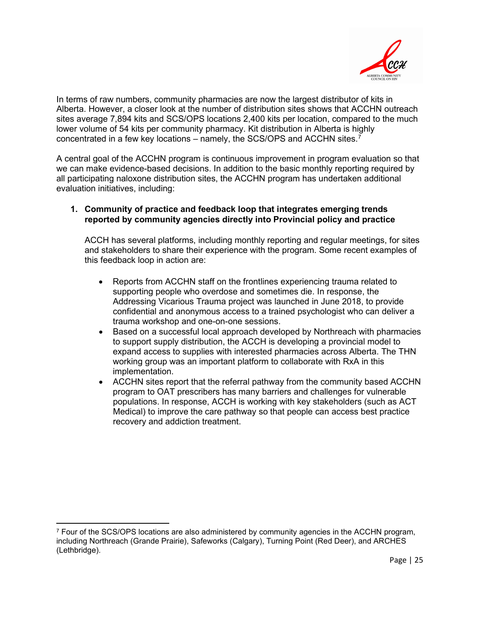

In terms of raw numbers, community pharmacies are now the largest distributor of kits in Alberta. However, a closer look at the number of distribution sites shows that ACCHN outreach sites average 7,894 kits and SCS/OPS locations 2,400 kits per location, compared to the much lower volume of 54 kits per community pharmacy. Kit distribution in Alberta is highly concentrated in a few key locations – namely, the SCS/OPS and ACCHN sites.[7](#page-24-0)

A central goal of the ACCHN program is continuous improvement in program evaluation so that we can make evidence-based decisions. In addition to the basic monthly reporting required by all participating naloxone distribution sites, the ACCHN program has undertaken additional evaluation initiatives, including:

#### **1. Community of practice and feedback loop that integrates emerging trends reported by community agencies directly into Provincial policy and practice**

ACCH has several platforms, including monthly reporting and regular meetings, for sites and stakeholders to share their experience with the program. Some recent examples of this feedback loop in action are:

- Reports from ACCHN staff on the frontlines experiencing trauma related to supporting people who overdose and sometimes die. In response, the Addressing Vicarious Trauma project was launched in June 2018, to provide confidential and anonymous access to a trained psychologist who can deliver a trauma workshop and one-on-one sessions.
- Based on a successful local approach developed by Northreach with pharmacies to support supply distribution, the ACCH is developing a provincial model to expand access to supplies with interested pharmacies across Alberta. The THN working group was an important platform to collaborate with RxA in this implementation.
- ACCHN sites report that the referral pathway from the community based ACCHN program to OAT prescribers has many barriers and challenges for vulnerable populations. In response, ACCH is working with key stakeholders (such as ACT Medical) to improve the care pathway so that people can access best practice recovery and addiction treatment.

<span id="page-24-0"></span><sup>7</sup> Four of the SCS/OPS locations are also administered by community agencies in the ACCHN program, including Northreach (Grande Prairie), Safeworks (Calgary), Turning Point (Red Deer), and ARCHES (Lethbridge).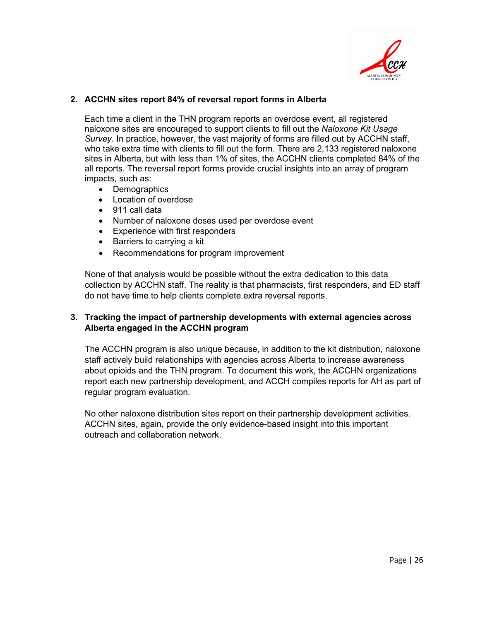

#### **2. ACCHN sites report 84% of reversal report forms in Alberta**

Each time a client in the THN program reports an overdose event, all registered naloxone sites are encouraged to support clients to fill out the *Naloxone Kit Usage Survey*. In practice, however, the vast majority of forms are filled out by ACCHN staff, who take extra time with clients to fill out the form. There are 2,133 registered naloxone sites in Alberta, but with less than 1% of sites, the ACCHN clients completed 84% of the all reports. The reversal report forms provide crucial insights into an array of program impacts, such as:

- Demographics
- Location of overdose
- 911 call data
- Number of naloxone doses used per overdose event
- Experience with first responders
- Barriers to carrying a kit
- Recommendations for program improvement

None of that analysis would be possible without the extra dedication to this data collection by ACCHN staff. The reality is that pharmacists, first responders, and ED staff do not have time to help clients complete extra reversal reports.

#### **3. Tracking the impact of partnership developments with external agencies across Alberta engaged in the ACCHN program**

The ACCHN program is also unique because, in addition to the kit distribution, naloxone staff actively build relationships with agencies across Alberta to increase awareness about opioids and the THN program. To document this work, the ACCHN organizations report each new partnership development, and ACCH compiles reports for AH as part of regular program evaluation.

No other naloxone distribution sites report on their partnership development activities. ACCHN sites, again, provide the only evidence-based insight into this important outreach and collaboration network.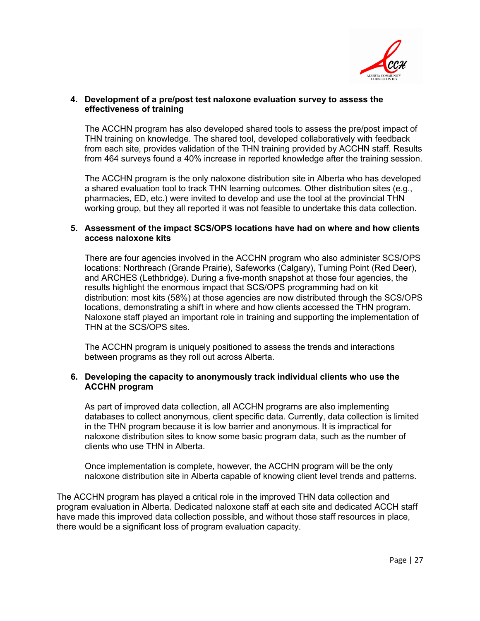

#### **4. Development of a pre/post test naloxone evaluation survey to assess the effectiveness of training**

The ACCHN program has also developed shared tools to assess the pre/post impact of THN training on knowledge. The shared tool, developed collaboratively with feedback from each site, provides validation of the THN training provided by ACCHN staff. Results from 464 surveys found a 40% increase in reported knowledge after the training session.

The ACCHN program is the only naloxone distribution site in Alberta who has developed a shared evaluation tool to track THN learning outcomes. Other distribution sites (e.g., pharmacies, ED, etc.) were invited to develop and use the tool at the provincial THN working group, but they all reported it was not feasible to undertake this data collection.

#### **5. Assessment of the impact SCS/OPS locations have had on where and how clients access naloxone kits**

There are four agencies involved in the ACCHN program who also administer SCS/OPS locations: Northreach (Grande Prairie), Safeworks (Calgary), Turning Point (Red Deer), and ARCHES (Lethbridge). During a five-month snapshot at those four agencies, the results highlight the enormous impact that SCS/OPS programming had on kit distribution: most kits (58%) at those agencies are now distributed through the SCS/OPS locations, demonstrating a shift in where and how clients accessed the THN program. Naloxone staff played an important role in training and supporting the implementation of THN at the SCS/OPS sites.

The ACCHN program is uniquely positioned to assess the trends and interactions between programs as they roll out across Alberta.

#### **6. Developing the capacity to anonymously track individual clients who use the ACCHN program**

As part of improved data collection, all ACCHN programs are also implementing databases to collect anonymous, client specific data. Currently, data collection is limited in the THN program because it is low barrier and anonymous. It is impractical for naloxone distribution sites to know some basic program data, such as the number of clients who use THN in Alberta.

Once implementation is complete, however, the ACCHN program will be the only naloxone distribution site in Alberta capable of knowing client level trends and patterns.

The ACCHN program has played a critical role in the improved THN data collection and program evaluation in Alberta. Dedicated naloxone staff at each site and dedicated ACCH staff have made this improved data collection possible, and without those staff resources in place, there would be a significant loss of program evaluation capacity.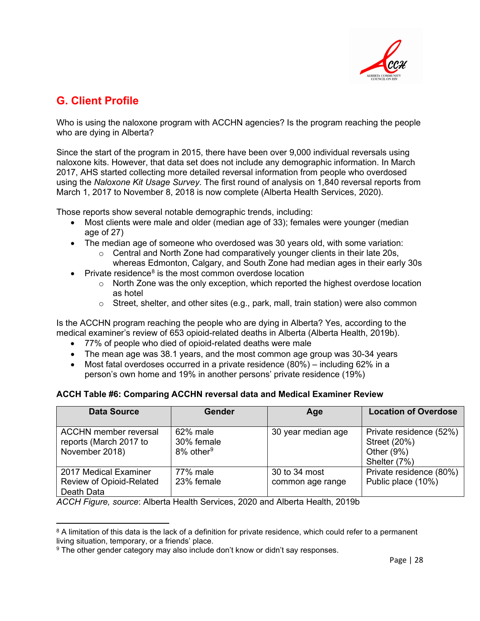

### <span id="page-27-0"></span>**G. Client Profile**

Who is using the naloxone program with ACCHN agencies? Is the program reaching the people who are dying in Alberta?

Since the start of the program in 2015, there have been over 9,000 individual reversals using naloxone kits. However, that data set does not include any demographic information. In March 2017, AHS started collecting more detailed reversal information from people who overdosed using the *Naloxone Kit Usage Survey*. The first round of analysis on 1,840 reversal reports from March 1, 2017 to November 8, 2018 is now complete (Alberta Health Services, 2020).

Those reports show several notable demographic trends, including:

- Most clients were male and older (median age of 33); females were younger (median age of 27)
- The median age of someone who overdosed was 30 years old, with some variation:
	- o Central and North Zone had comparatively younger clients in their late 20s, whereas Edmonton, Calgary, and South Zone had median ages in their early 30s
- Private residence<sup>[8](#page-27-1)</sup> is the most common overdose location
	- $\circ$  North Zone was the only exception, which reported the highest overdose location as hotel
	- $\circ$  Street, shelter, and other sites (e.g., park, mall, train station) were also common

Is the ACCHN program reaching the people who are dying in Alberta? Yes, according to the medical examiner's review of 653 opioid-related deaths in Alberta (Alberta Health, 2019b).

- 77% of people who died of opioid-related deaths were male
- The mean age was 38.1 years, and the most common age group was 30-34 years
- Most fatal overdoses occurred in a private residence (80%) including 62% in a person's own home and 19% in another persons' private residence (19%)

#### **ACCH Table #6: Comparing ACCHN reversal data and Medical Examiner Review**

| <b>Data Source</b>                                                       | <b>Gender</b>                                   | Age                               | <b>Location of Overdose</b>                                              |
|--------------------------------------------------------------------------|-------------------------------------------------|-----------------------------------|--------------------------------------------------------------------------|
| <b>ACCHN</b> member reversal<br>reports (March 2017 to<br>November 2018) | 62% male<br>30% female<br>8% other <sup>9</sup> | 30 year median age                | Private residence (52%)<br>Street (20%)<br>Other $(9\%)$<br>Shelter (7%) |
| 2017 Medical Examiner<br>Review of Opioid-Related<br>Death Data          | 77% male<br>23% female                          | 30 to 34 most<br>common age range | Private residence (80%)<br>Public place (10%)                            |

*ACCH Figure, source*: Alberta Health Services, 2020 and Alberta Health, 2019b

<span id="page-27-1"></span><sup>&</sup>lt;sup>8</sup> A limitation of this data is the lack of a definition for private residence, which could refer to a permanent living situation, temporary, or a friends' place.

<span id="page-27-2"></span><sup>9</sup> The other gender category may also include don't know or didn't say responses.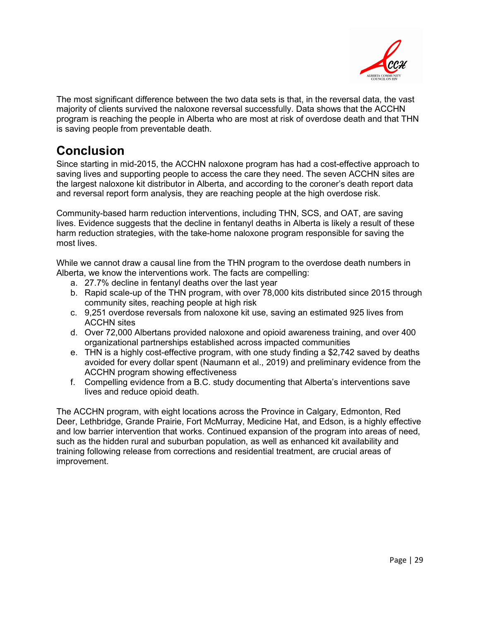

The most significant difference between the two data sets is that, in the reversal data, the vast majority of clients survived the naloxone reversal successfully. Data shows that the ACCHN program is reaching the people in Alberta who are most at risk of overdose death and that THN is saving people from preventable death.

## <span id="page-28-0"></span>**Conclusion**

Since starting in mid-2015, the ACCHN naloxone program has had a cost-effective approach to saving lives and supporting people to access the care they need. The seven ACCHN sites are the largest naloxone kit distributor in Alberta, and according to the coroner's death report data and reversal report form analysis, they are reaching people at the high overdose risk.

Community-based harm reduction interventions, including THN, SCS, and OAT, are saving lives. Evidence suggests that the decline in fentanyl deaths in Alberta is likely a result of these harm reduction strategies, with the take-home naloxone program responsible for saving the most lives.

While we cannot draw a causal line from the THN program to the overdose death numbers in Alberta, we know the interventions work. The facts are compelling:

- a. 27.7% decline in fentanyl deaths over the last year
- b. Rapid scale-up of the THN program, with over 78,000 kits distributed since 2015 through community sites, reaching people at high risk
- c. 9,251 overdose reversals from naloxone kit use, saving an estimated 925 lives from ACCHN sites
- d. Over 72,000 Albertans provided naloxone and opioid awareness training, and over 400 organizational partnerships established across impacted communities
- e. THN is a highly cost-effective program, with one study finding a \$2,742 saved by deaths avoided for every dollar spent (Naumann et al., 2019) and preliminary evidence from the ACCHN program showing effectiveness
- f. Compelling evidence from a B.C. study documenting that Alberta's interventions save lives and reduce opioid death.

The ACCHN program, with eight locations across the Province in Calgary, Edmonton, Red Deer, Lethbridge, Grande Prairie, Fort McMurray, Medicine Hat, and Edson, is a highly effective and low barrier intervention that works. Continued expansion of the program into areas of need, such as the hidden rural and suburban population, as well as enhanced kit availability and training following release from corrections and residential treatment, are crucial areas of improvement.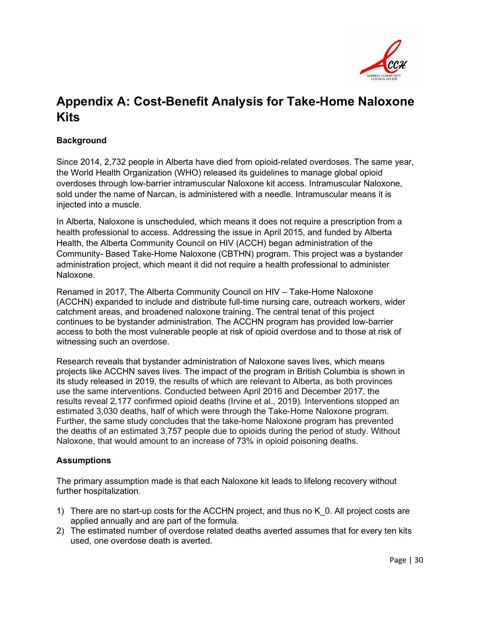

# <span id="page-29-0"></span>**Appendix A: Cost-Benefit Analysis for Take-Home Naloxone Kits**

#### **Background**

Since 2014, 2,732 people in Alberta have died from opioid-related overdoses. The same year, the World Health Organization (WHO) released its guidelines to manage global opioid overdoses through low-barrier intramuscular Naloxone kit access. Intramuscular Naloxone, sold under the name of Narcan, is administered with a needle. Intramuscular means it is injected into a muscle.

In Alberta, Naloxone is unscheduled, which means it does not require a prescription from a health professional to access. Addressing the issue in April 2015, and funded by Alberta Health, the Alberta Community Council on HIV (ACCH) began administration of the Community- Based Take-Home Naloxone (CBTHN) program. This project was a bystander administration project, which meant it did not require a health professional to administer Naloxone.

Renamed in 2017, The Alberta Community Council on HIV – Take-Home Naloxone (ACCHN) expanded to include and distribute full-time nursing care, outreach workers, wider catchment areas, and broadened naloxone training. The central tenat of this project continues to be bystander administration. The ACCHN program has provided low-barrier access to both the most vulnerable people at risk of opioid overdose and to those at risk of witnessing such an overdose.

Research reveals that bystander administration of Naloxone saves lives, which means projects like ACCHN saves lives. The impact of the program in British Columbia is shown in its study released in 2019, the results of which are relevant to Alberta, as both provinces use the same interventions. Conducted between April 2016 and December 2017, the results reveal 2,177 confirmed opioid deaths (Irvine et al., 2019). Interventions stopped an estimated 3,030 deaths, half of which were through the Take-Home Naloxone program. Further, the same study concludes that the take-home Naloxone program has prevented the deaths of an estimated 3,757 people due to opioids during the period of study. Without Naloxone, that would amount to an increase of 73% in opioid poisoning deaths.

#### **Assumptions**

The primary assumption made is that each Naloxone kit leads to lifelong recovery without further hospitalization.

- 1) There are no start-up costs for the ACCHN project, and thus no K\_0. All project costs are applied annually and are part of the formula.
- 2) The estimated number of overdose related deaths averted assumes that for every ten kits used, one overdose death is averted.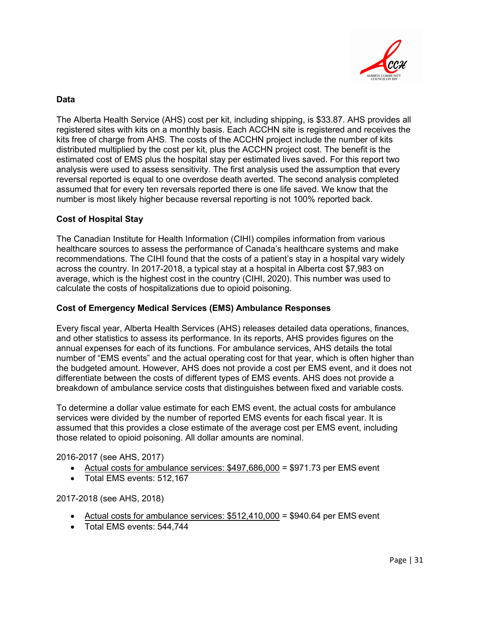

#### **Data**

The Alberta Health Service (AHS) cost per kit, including shipping, is \$33.87. AHS provides all registered sites with kits on a monthly basis. Each ACCHN site is registered and receives the kits free of charge from AHS. The costs of the ACCHN project include the number of kits distributed multiplied by the cost per kit, plus the ACCHN project cost. The benefit is the estimated cost of EMS plus the hospital stay per estimated lives saved. For this report two analysis were used to assess sensitivity. The first analysis used the assumption that every reversal reported is equal to one overdose death averted. The second analysis completed assumed that for every ten reversals reported there is one life saved. We know that the number is most likely higher because reversal reporting is not 100% reported back.

#### **Cost of Hospital Stay**

The Canadian Institute for Health Information (CIHI) compiles information from various healthcare sources to assess the performance of Canada's healthcare systems and make recommendations. The CIHI found that the costs of a patient's stay in a hospital vary widely across the country. In 2017-2018, a typical stay at a hospital in Alberta cost \$7,983 on average, which is the highest cost in the country (CIHI, 2020). This number was used to calculate the costs of hospitalizations due to opioid poisoning.

#### **Cost of Emergency Medical Services (EMS) Ambulance Responses**

Every fiscal year, Alberta Health Services (AHS) releases detailed data operations, finances, and other statistics to assess its performance. In its reports, AHS provides figures on the annual expenses for each of its functions. For ambulance services, AHS details the total number of "EMS events" and the actual operating cost for that year, which is often higher than the budgeted amount. However, AHS does not provide a cost per EMS event, and it does not differentiate between the costs of different types of EMS events. AHS does not provide a breakdown of ambulance service costs that distinguishes between fixed and variable costs.

To determine a dollar value estimate for each EMS event, the actual costs for ambulance services were divided by the number of reported EMS events for each fiscal year. It is assumed that this provides a close estimate of the average cost per EMS event, including those related to opioid poisoning. All dollar amounts are nominal.

2016-2017 (see AHS, 2017)

- Actual costs for ambulance services:  $$497,686,000 = $971.73$  per EMS event
- Total EMS events: 512,167

2017-2018 (see AHS, 2018)

- Actual costs for ambulance services:  $$512,410,000 = $940.64$  per EMS event
- Total EMS events: 544,744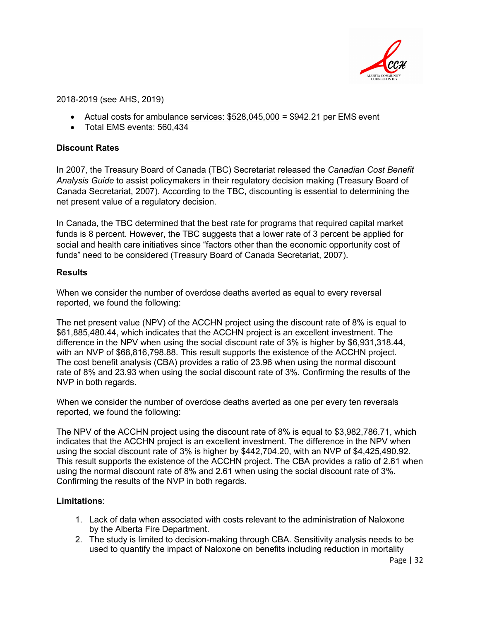

2018-2019 (see AHS, 2019)

- Actual costs for ambulance services: \$528,045,000 = \$942.21 per EMS event
- Total EMS events: 560,434

#### **Discount Rates**

In 2007, the Treasury Board of Canada (TBC) Secretariat released the *Canadian Cost Benefit Analysis Guide* to assist policymakers in their regulatory decision making (Treasury Board of Canada Secretariat, 2007). According to the TBC, discounting is essential to determining the net present value of a regulatory decision.

In Canada, the TBC determined that the best rate for programs that required capital market funds is 8 percent. However, the TBC suggests that a lower rate of 3 percent be applied for social and health care initiatives since "factors other than the economic opportunity cost of funds" need to be considered (Treasury Board of Canada Secretariat, 2007).

#### **Results**

When we consider the number of overdose deaths averted as equal to every reversal reported, we found the following:

The net present value (NPV) of the ACCHN project using the discount rate of 8% is equal to \$61,885,480.44, which indicates that the ACCHN project is an excellent investment. The difference in the NPV when using the social discount rate of 3% is higher by \$6,931,318.44, with an NVP of \$68,816,798.88. This result supports the existence of the ACCHN project. The cost benefit analysis (CBA) provides a ratio of 23.96 when using the normal discount rate of 8% and 23.93 when using the social discount rate of 3%. Confirming the results of the NVP in both regards.

When we consider the number of overdose deaths averted as one per every ten reversals reported, we found the following:

The NPV of the ACCHN project using the discount rate of 8% is equal to \$3,982,786.71, which indicates that the ACCHN project is an excellent investment. The difference in the NPV when using the social discount rate of 3% is higher by \$442,704.20, with an NVP of \$4,425,490.92. This result supports the existence of the ACCHN project. The CBA provides a ratio of 2.61 when using the normal discount rate of 8% and 2.61 when using the social discount rate of 3%. Confirming the results of the NVP in both regards.

#### **Limitations**:

- 1. Lack of data when associated with costs relevant to the administration of Naloxone by the Alberta Fire Department.
- 2. The study is limited to decision-making through CBA. Sensitivity analysis needs to be used to quantify the impact of Naloxone on benefits including reduction in mortality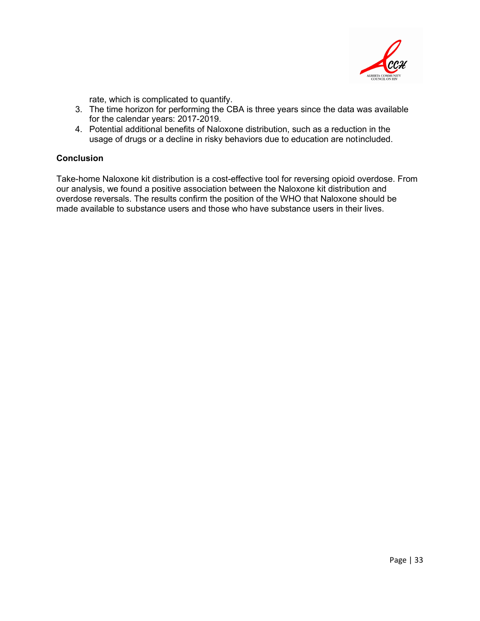

rate, which is complicated to quantify.

- 3. The time horizon for performing the CBA is three years since the data was available for the calendar years: 2017-2019.
- 4. Potential additional benefits of Naloxone distribution, such as a reduction in the usage of drugs or a decline in risky behaviors due to education are notincluded.

#### **Conclusion**

Take-home Naloxone kit distribution is a cost-effective tool for reversing opioid overdose. From our analysis, we found a positive association between the Naloxone kit distribution and overdose reversals. The results confirm the position of the WHO that Naloxone should be made available to substance users and those who have substance users in their lives.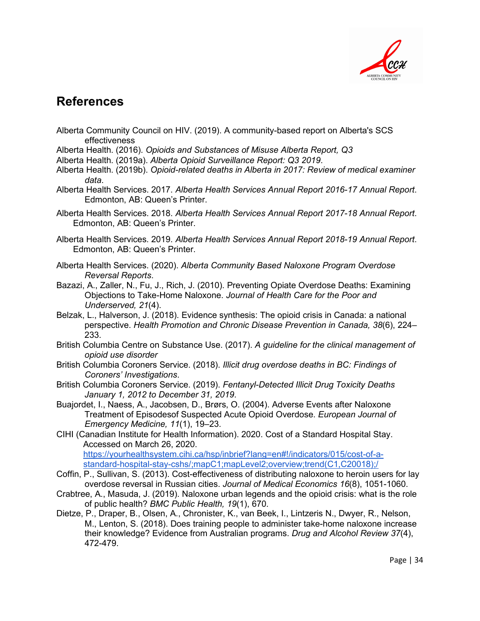

## **References**

- Alberta Community Council on HIV. (2019). A community-based report on Alberta's SCS effectiveness
- Alberta Health. (2016). *Opioids and Substances of Misuse Alberta Report, Q3*
- Alberta Health. (2019a). *Alberta Opioid Surveillance Report: Q3 2019*.
- Alberta Health. (2019b). *Opioid-related deaths in Alberta in 2017: Review of medical examiner data*.
- Alberta Health Services. 2017. *Alberta Health Services Annual Report 2016-17 Annual Report*. Edmonton, AB: Queen's Printer.
- Alberta Health Services. 2018. *Alberta Health Services Annual Report 2017-18 Annual Report*. Edmonton, AB: Queen's Printer.
- Alberta Health Services. 2019. *Alberta Health Services Annual Report 2018-19 Annual Report*. Edmonton, AB: Queen's Printer.
- Alberta Health Services. (2020). *Alberta Community Based Naloxone Program Overdose Reversal Reports*.
- Bazazi, A., Zaller, N., Fu, J., Rich, J. (2010). Preventing Opiate Overdose Deaths: Examining Objections to Take-Home Naloxone. *Journal of Health Care for the Poor and Underserved, 21*(4).
- Belzak, L., Halverson, J. (2018). Evidence synthesis: The opioid crisis in Canada: a national perspective. *Health Promotion and Chronic Disease Prevention in Canada, 38*(6), 224– 233.
- British Columbia Centre on Substance Use. (2017). *A guideline for the clinical management of opioid use disorder*
- British Columbia Coroners Service. (2018). *Illicit drug overdose deaths in BC: Findings of Coroners' Investigations*.
- British Columbia Coroners Service. (2019). *Fentanyl-Detected Illicit Drug Toxicity Deaths January 1, 2012 to December 31, 2019*.
- Buajordet, I., Naess, A., Jacobsen, D., Brørs, O. (2004). Adverse Events after Naloxone Treatment of Episodesof Suspected Acute Opioid Overdose. *European Journal of Emergency Medicine, 11*(1), 19–23.

CIHI (Canadian Institute for Health Information). 2020. Cost of a Standard Hospital Stay. Accessed on March 26, 2020. https://yourhealthsystem.cihi.ca/hsp/inbrief?lang=en#!/indicators/015/cost-of-astandard-hospital-stay-cshs/;mapC1;mapLevel2;overview;trend(C1,C20018);/

- Coffin, P., Sullivan, S. (2013). Cost-effectiveness of distributing naloxone to heroin users for lay overdose reversal in Russian cities. *Journal of Medical Economics 16*(8), 1051-1060.
- Crabtree, A., Masuda, J. (2019). Naloxone urban legends and the opioid crisis: what is the role of public health? *BMC Public Health, 19*(1), 670.
- Dietze, P., Draper, B., Olsen, A., Chronister, K., van Beek, I., Lintzeris N., Dwyer, R., Nelson, M., Lenton, S. (2018). Does training people to administer take-home naloxone increase their knowledge? Evidence from Australian programs. *Drug and Alcohol Review 37*(4), 472-479.